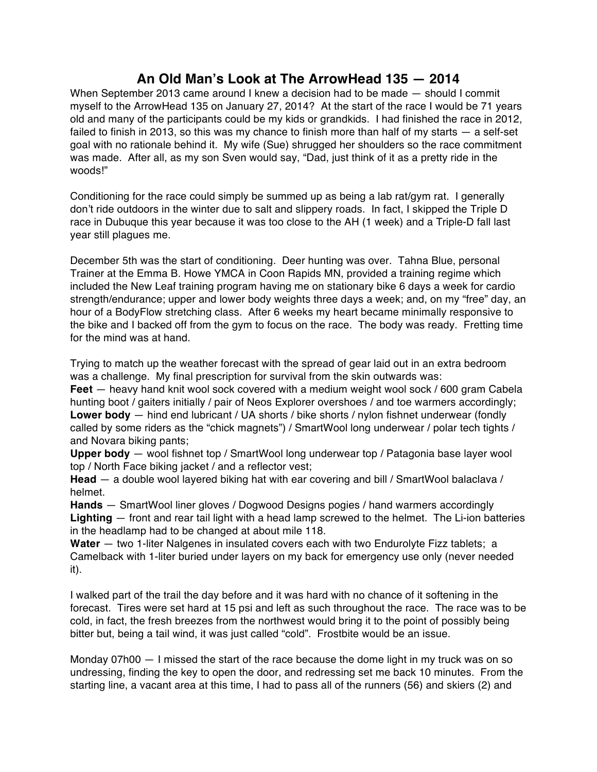## **An Old Man's Look at The ArrowHead 135 — 2014**

When September 2013 came around I knew a decision had to be made — should I commit myself to the ArrowHead 135 on January 27, 2014? At the start of the race I would be 71 years old and many of the participants could be my kids or grandkids. I had finished the race in 2012, failed to finish in 2013, so this was my chance to finish more than half of my starts — a self-set goal with no rationale behind it. My wife (Sue) shrugged her shoulders so the race commitment was made. After all, as my son Sven would say, "Dad, just think of it as a pretty ride in the woods!"

Conditioning for the race could simply be summed up as being a lab rat/gym rat. I generally don't ride outdoors in the winter due to salt and slippery roads. In fact, I skipped the Triple D race in Dubuque this year because it was too close to the AH (1 week) and a Triple-D fall last year still plagues me.

December 5th was the start of conditioning. Deer hunting was over. Tahna Blue, personal Trainer at the Emma B. Howe YMCA in Coon Rapids MN, provided a training regime which included the New Leaf training program having me on stationary bike 6 days a week for cardio strength/endurance; upper and lower body weights three days a week; and, on my "free" day, an hour of a BodyFlow stretching class. After 6 weeks my heart became minimally responsive to the bike and I backed off from the gym to focus on the race. The body was ready. Fretting time for the mind was at hand.

Trying to match up the weather forecast with the spread of gear laid out in an extra bedroom was a challenge. My final prescription for survival from the skin outwards was:

**Feet** — heavy hand knit wool sock covered with a medium weight wool sock / 600 gram Cabela hunting boot / gaiters initially / pair of Neos Explorer overshoes / and toe warmers accordingly; **Lower body** — hind end lubricant / UA shorts / bike shorts / nylon fishnet underwear (fondly called by some riders as the "chick magnets") / SmartWool long underwear / polar tech tights / and Novara biking pants;

**Upper body** — wool fishnet top / SmartWool long underwear top / Patagonia base layer wool top / North Face biking jacket / and a reflector vest;

**Head** — a double wool layered biking hat with ear covering and bill / SmartWool balaclava / helmet.

**Hands** — SmartWool liner gloves / Dogwood Designs pogies / hand warmers accordingly **Lighting** — front and rear tail light with a head lamp screwed to the helmet. The Li-ion batteries in the headlamp had to be changed at about mile 118.

**Water** — two 1-liter Nalgenes in insulated covers each with two Endurolyte Fizz tablets; a Camelback with 1-liter buried under layers on my back for emergency use only (never needed it).

I walked part of the trail the day before and it was hard with no chance of it softening in the forecast. Tires were set hard at 15 psi and left as such throughout the race. The race was to be cold, in fact, the fresh breezes from the northwest would bring it to the point of possibly being bitter but, being a tail wind, it was just called "cold". Frostbite would be an issue.

Monday 07h00 — I missed the start of the race because the dome light in my truck was on so undressing, finding the key to open the door, and redressing set me back 10 minutes. From the starting line, a vacant area at this time, I had to pass all of the runners (56) and skiers (2) and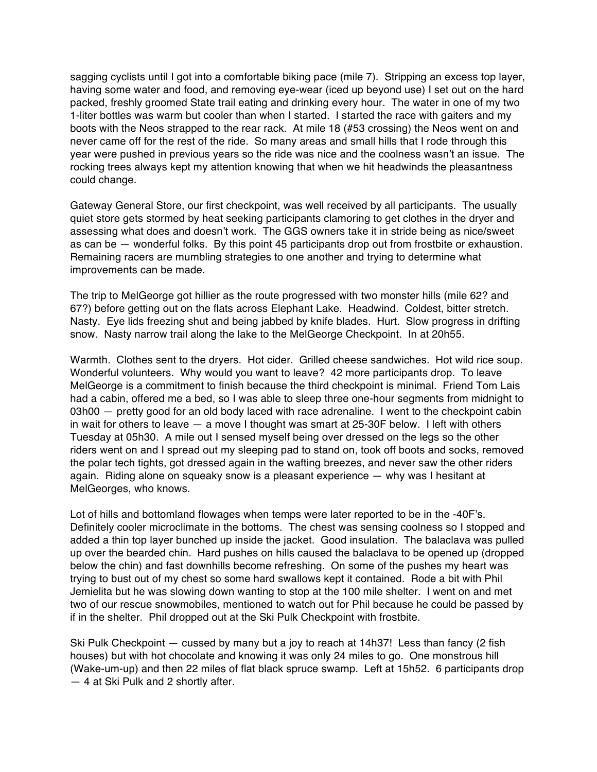sagging cyclists until I got into a comfortable biking pace (mile 7). Stripping an excess top layer, having some water and food, and removing eye-wear (iced up beyond use) I set out on the hard packed, freshly groomed State trail eating and drinking every hour. The water in one of my two 1-liter bottles was warm but cooler than when I started. I started the race with gaiters and my boots with the Neos strapped to the rear rack. At mile 18 (#53 crossing) the Neos went on and never came off for the rest of the ride. So many areas and small hills that I rode through this year were pushed in previous years so the ride was nice and the coolness wasn't an issue. The rocking trees always kept my attention knowing that when we hit headwinds the pleasantness could change.

Gateway General Store, our first checkpoint, was well received by all participants. The usually quiet store gets stormed by heat seeking participants clamoring to get clothes in the dryer and assessing what does and doesn't work. The GGS owners take it in stride being as nice/sweet as can be — wonderful folks. By this point 45 participants drop out from frostbite or exhaustion. Remaining racers are mumbling strategies to one another and trying to determine what improvements can be made.

The trip to MelGeorge got hillier as the route progressed with two monster hills (mile 62? and 67?) before getting out on the flats across Elephant Lake. Headwind. Coldest, bitter stretch. Nasty. Eye lids freezing shut and being jabbed by knife blades. Hurt. Slow progress in drifting snow. Nasty narrow trail along the lake to the MelGeorge Checkpoint. In at 20h55.

Warmth. Clothes sent to the dryers. Hot cider. Grilled cheese sandwiches. Hot wild rice soup. Wonderful volunteers. Why would you want to leave? 42 more participants drop. To leave MelGeorge is a commitment to finish because the third checkpoint is minimal. Friend Tom Lais had a cabin, offered me a bed, so I was able to sleep three one-hour segments from midnight to 03h00 – pretty good for an old body laced with race adrenaline. I went to the checkpoint cabin in wait for others to leave — a move I thought was smart at 25-30F below. I left with others Tuesday at 05h30. A mile out I sensed myself being over dressed on the legs so the other riders went on and I spread out my sleeping pad to stand on, took off boots and socks, removed the polar tech tights, got dressed again in the wafting breezes, and never saw the other riders again. Riding alone on squeaky snow is a pleasant experience — why was I hesitant at MelGeorges, who knows.

Lot of hills and bottomland flowages when temps were later reported to be in the -40F's. Definitely cooler microclimate in the bottoms. The chest was sensing coolness so I stopped and added a thin top layer bunched up inside the jacket. Good insulation. The balaclava was pulled up over the bearded chin. Hard pushes on hills caused the balaclava to be opened up (dropped below the chin) and fast downhills become refreshing. On some of the pushes my heart was trying to bust out of my chest so some hard swallows kept it contained. Rode a bit with Phil Jemielita but he was slowing down wanting to stop at the 100 mile shelter. I went on and met two of our rescue snowmobiles, mentioned to watch out for Phil because he could be passed by if in the shelter. Phil dropped out at the Ski Pulk Checkpoint with frostbite.

Ski Pulk Checkpoint — cussed by many but a joy to reach at 14h37! Less than fancy (2 fish houses) but with hot chocolate and knowing it was only 24 miles to go. One monstrous hill (Wake-um-up) and then 22 miles of flat black spruce swamp. Left at 15h52. 6 participants drop — 4 at Ski Pulk and 2 shortly after.